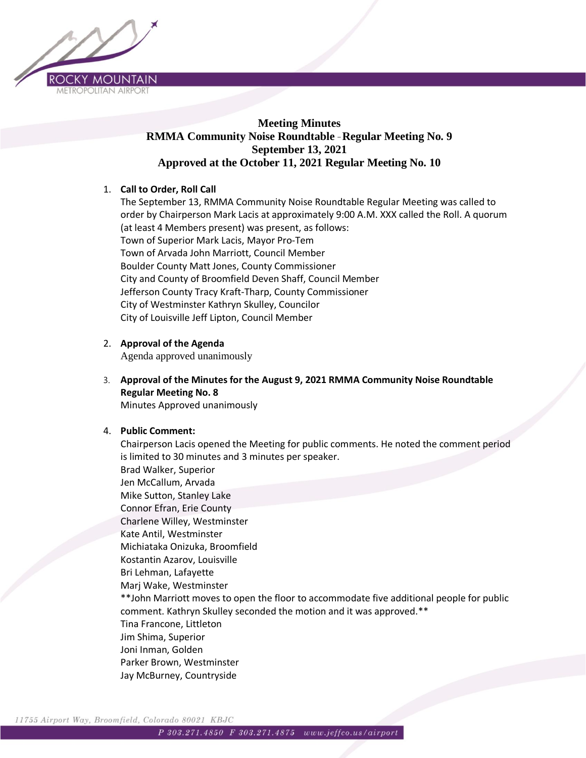

# **Meeting Minutes RMMA Community Noise Roundtable** – **Regular Meeting No. 9 September 13, 2021 Approved at the October 11, 2021 Regular Meeting No. 10**

# 1. **Call to Order, Roll Call**

The September 13, RMMA Community Noise Roundtable Regular Meeting was called to order by Chairperson Mark Lacis at approximately 9:00 A.M. XXX called the Roll. A quorum (at least 4 Members present) was present, as follows: Town of Superior Mark Lacis, Mayor Pro-Tem Town of Arvada John Marriott, Council Member Boulder County Matt Jones, County Commissioner City and County of Broomfield Deven Shaff, Council Member Jefferson County Tracy Kraft-Tharp, County Commissioner City of Westminster Kathryn Skulley, Councilor City of Louisville Jeff Lipton, Council Member

### 2. **Approval of the Agenda**

Agenda approved unanimously

3. **Approval of the Minutes for the August 9, 2021 RMMA Community Noise Roundtable Regular Meeting No. 8** Minutes Approved unanimously

### 4. **Public Comment:**

Chairperson Lacis opened the Meeting for public comments. He noted the comment period is limited to 30 minutes and 3 minutes per speaker. Brad Walker, Superior Jen McCallum, Arvada Mike Sutton, Stanley Lake Connor Efran, Erie County Charlene Willey, Westminster Kate Antil, Westminster Michiataka Onizuka, Broomfield Kostantin Azarov, Louisville Bri Lehman, Lafayette Marj Wake, Westminster \*\*John Marriott moves to open the floor to accommodate five additional people for public comment. Kathryn Skulley seconded the motion and it was approved.\*\* Tina Francone, Littleton Jim Shima, Superior Joni Inman, Golden Parker Brown, Westminster Jay McBurney, Countryside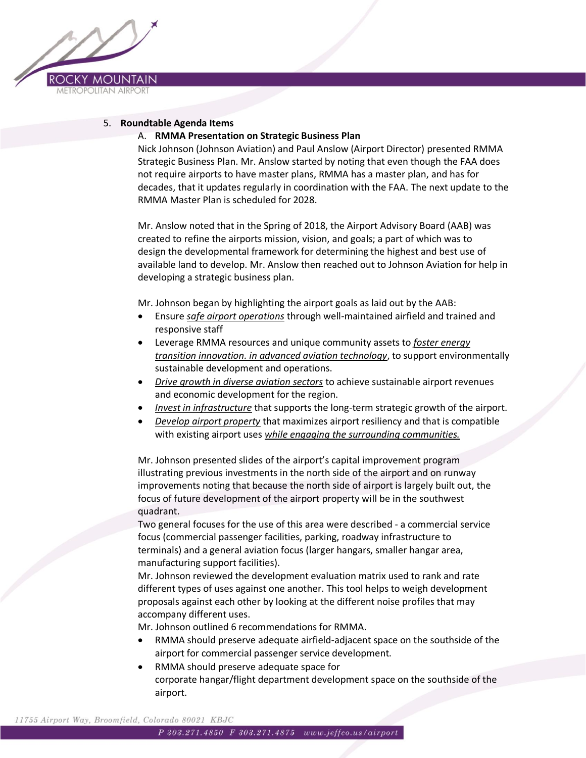

### 5. **Roundtable Agenda Items**

### A. **RMMA Presentation on Strategic Business Plan**

Nick Johnson (Johnson Aviation) and Paul Anslow (Airport Director) presented RMMA Strategic Business Plan. Mr. Anslow started by noting that even though the FAA does not require airports to have master plans, RMMA has a master plan, and has for decades, that it updates regularly in coordination with the FAA. The next update to the RMMA Master Plan is scheduled for 2028.

Mr. Anslow noted that in the Spring of 2018, the Airport Advisory Board (AAB) was created to refine the airports mission, vision, and goals; a part of which was to design the developmental framework for determining the highest and best use of available land to develop. Mr. Anslow then reached out to Johnson Aviation for help in developing a strategic business plan.

Mr. Johnson began by highlighting the airport goals as laid out by the AAB:

- Ensure *safe airport operations* through well-maintained airfield and trained and responsive staff
- Leverage RMMA resources and unique community assets to *foster energy transition innovation. in advanced aviation technology*, to support environmentally sustainable development and operations.
- *Drive growth in diverse aviation sectors* to achieve sustainable airport revenues and economic development for the region.
- *Invest in infrastructure* that supports the long-term strategic growth of the airport.
- *Develop airport property* that maximizes airport resiliency and that is compatible with existing airport uses *while engaging the surrounding communities.*

Mr. Johnson presented slides of the airport's capital improvement program illustrating previous investments in the north side of the airport and on runway improvements noting that because the north side of airport is largely built out, the focus of future development of the airport property will be in the southwest quadrant.

Two general focuses for the use of this area were described - a commercial service focus (commercial passenger facilities, parking, roadway infrastructure to terminals) and a general aviation focus (larger hangars, smaller hangar area, manufacturing support facilities).

Mr. Johnson reviewed the development evaluation matrix used to rank and rate different types of uses against one another. This tool helps to weigh development proposals against each other by looking at the different noise profiles that may accompany different uses.

Mr. Johnson outlined 6 recommendations for RMMA.

- RMMA should preserve adequate airfield-adjacent space on the southside of the airport for commercial passenger service development.
- RMMA should preserve adequate space for corporate hangar/flight department development space on the southside of the airport.

11755 Airport Way, Broomfield, Colorado 80021 KBJC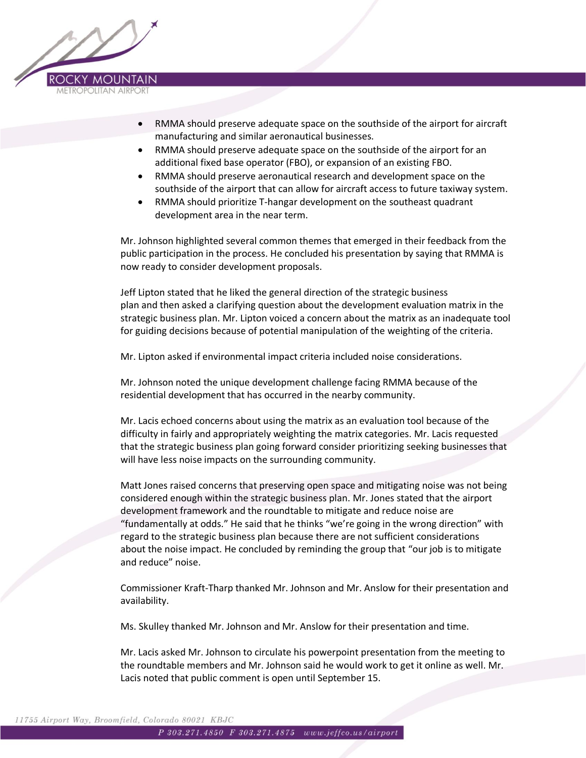

- RMMA should preserve adequate space on the southside of the airport for aircraft manufacturing and similar aeronautical businesses.
- RMMA should preserve adequate space on the southside of the airport for an additional fixed base operator (FBO), or expansion of an existing FBO.
- RMMA should preserve aeronautical research and development space on the southside of the airport that can allow for aircraft access to future taxiway system.
- RMMA should prioritize T-hangar development on the southeast quadrant development area in the near term.

Mr. Johnson highlighted several common themes that emerged in their feedback from the public participation in the process. He concluded his presentation by saying that RMMA is now ready to consider development proposals.

Jeff Lipton stated that he liked the general direction of the strategic business plan and then asked a clarifying question about the development evaluation matrix in the strategic business plan. Mr. Lipton voiced a concern about the matrix as an inadequate tool for guiding decisions because of potential manipulation of the weighting of the criteria.

Mr. Lipton asked if environmental impact criteria included noise considerations.

Mr. Johnson noted the unique development challenge facing RMMA because of the residential development that has occurred in the nearby community.

Mr. Lacis echoed concerns about using the matrix as an evaluation tool because of the difficulty in fairly and appropriately weighting the matrix categories. Mr. Lacis requested that the strategic business plan going forward consider prioritizing seeking businesses that will have less noise impacts on the surrounding community.

Matt Jones raised concerns that preserving open space and mitigating noise was not being considered enough within the strategic business plan. Mr. Jones stated that the airport development framework and the roundtable to mitigate and reduce noise are "fundamentally at odds." He said that he thinks "we're going in the wrong direction" with regard to the strategic business plan because there are not sufficient considerations about the noise impact. He concluded by reminding the group that "our job is to mitigate and reduce" noise.

Commissioner Kraft-Tharp thanked Mr. Johnson and Mr. Anslow for their presentation and availability.

Ms. Skulley thanked Mr. Johnson and Mr. Anslow for their presentation and time.

Mr. Lacis asked Mr. Johnson to circulate his powerpoint presentation from the meeting to the roundtable members and Mr. Johnson said he would work to get it online as well. Mr. Lacis noted that public comment is open until September 15.